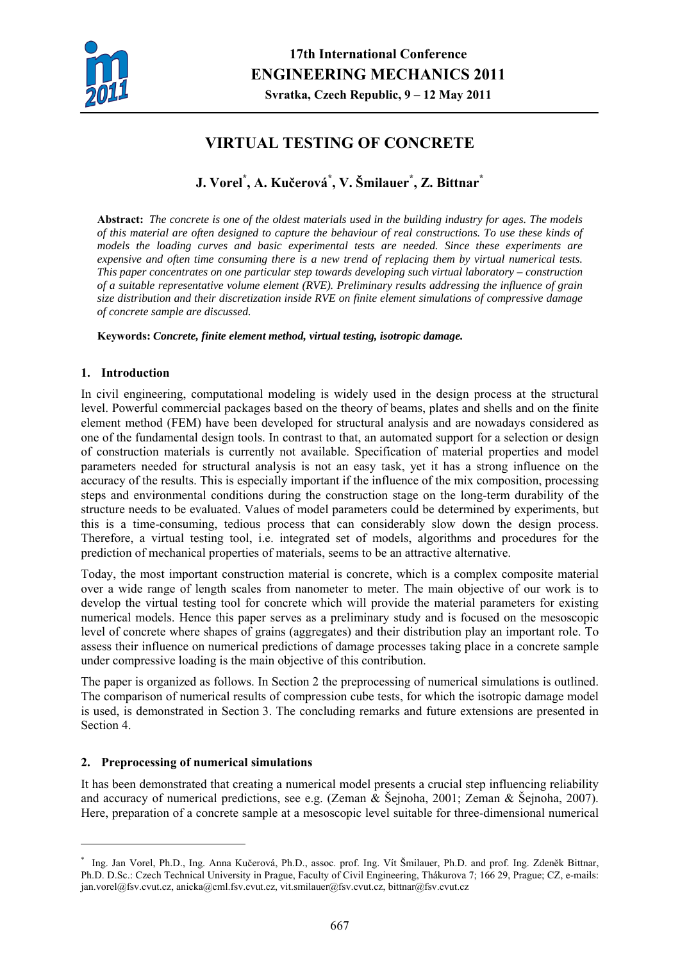

# **VIRTUAL TESTING OF CONCRETE**

**J. Vorel\* , A. Kučerová\* , V. Šmilauer\* , Z. Bittnar\***

**Abstract:** *The concrete is one of the oldest materials used in the building industry for ages. The models of this material are often designed to capture the behaviour of real constructions. To use these kinds of models the loading curves and basic experimental tests are needed. Since these experiments are expensive and often time consuming there is a new trend of replacing them by virtual numerical tests. This paper concentrates on one particular step towards developing such virtual laboratory – construction of a suitable representative volume element (RVE). Preliminary results addressing the influence of grain size distribution and their discretization inside RVE on finite element simulations of compressive damage of concrete sample are discussed.* 

**Keywords:** *Concrete, finite element method, virtual testing, isotropic damage.* 

## **1. Introduction**

In civil engineering, computational modeling is widely used in the design process at the structural level. Powerful commercial packages based on the theory of beams, plates and shells and on the finite element method (FEM) have been developed for structural analysis and are nowadays considered as one of the fundamental design tools. In contrast to that, an automated support for a selection or design of construction materials is currently not available. Specification of material properties and model parameters needed for structural analysis is not an easy task, yet it has a strong influence on the accuracy of the results. This is especially important if the influence of the mix composition, processing steps and environmental conditions during the construction stage on the long-term durability of the structure needs to be evaluated. Values of model parameters could be determined by experiments, but this is a time-consuming, tedious process that can considerably slow down the design process. Therefore, a virtual testing tool, i.e. integrated set of models, algorithms and procedures for the prediction of mechanical properties of materials, seems to be an attractive alternative.

Today, the most important construction material is concrete, which is a complex composite material over a wide range of length scales from nanometer to meter. The main objective of our work is to develop the virtual testing tool for concrete which will provide the material parameters for existing numerical models. Hence this paper serves as a preliminary study and is focused on the mesoscopic level of concrete where shapes of grains (aggregates) and their distribution play an important role. To assess their influence on numerical predictions of damage processes taking place in a concrete sample under compressive loading is the main objective of this contribution.

The paper is organized as follows. In Section 2 the preprocessing of numerical simulations is outlined. The comparison of numerical results of compression cube tests, for which the isotropic damage model is used, is demonstrated in Section 3. The concluding remarks and future extensions are presented in Section 4.

# **2. Preprocessing of numerical simulations**

1

It has been demonstrated that creating a numerical model presents a crucial step influencing reliability and accuracy of numerical predictions, see e.g. (Zeman & Šejnoha, 2001; Zeman & Šejnoha, 2007). Here, preparation of a concrete sample at a mesoscopic level suitable for three-dimensional numerical

<sup>\*</sup> Ing. Jan Vorel, Ph.D., Ing. Anna Kučerová, Ph.D., assoc. prof. Ing. Vít Šmilauer, Ph.D. and prof. Ing. Zdeněk Bittnar, Ph.D. D.Sc.: Czech Technical University in Prague, Faculty of Civil Engineering, Thákurova 7; 166 29, Prague; CZ, e-mails: jan.vorel@fsv.cvut.cz, anicka@cml.fsv.cvut.cz, vit.smilauer@fsv.cvut.cz, bittnar@fsv.cvut.cz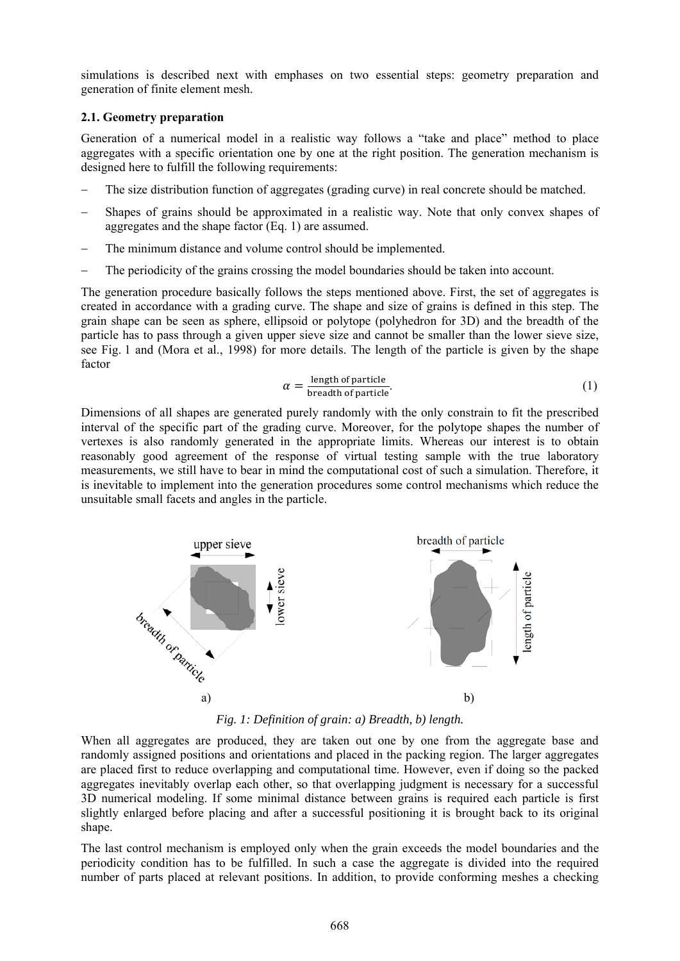simulations is described next with emphases on two essential steps: geometry preparation and generation of finite element mesh.

## **2.1. Geometry preparation**

Generation of a numerical model in a realistic way follows a "take and place" method to place aggregates with a specific orientation one by one at the right position. The generation mechanism is designed here to fulfill the following requirements:

- The size distribution function of aggregates (grading curve) in real concrete should be matched.
- Shapes of grains should be approximated in a realistic way. Note that only convex shapes of aggregates and the shape factor (Eq. 1) are assumed.
- − The minimum distance and volume control should be implemented.
- The periodicity of the grains crossing the model boundaries should be taken into account.

The generation procedure basically follows the steps mentioned above. First, the set of aggregates is created in accordance with a grading curve. The shape and size of grains is defined in this step. The grain shape can be seen as sphere, ellipsoid or polytope (polyhedron for 3D) and the breadth of the particle has to pass through a given upper sieve size and cannot be smaller than the lower sieve size, see Fig. 1 and (Mora et al., 1998) for more details. The length of the particle is given by the shape factor

$$
\alpha = \frac{\text{length of particle}}{\text{breadth of particle}}.\tag{1}
$$

Dimensions of all shapes are generated purely randomly with the only constrain to fit the prescribed interval of the specific part of the grading curve. Moreover, for the polytope shapes the number of vertexes is also randomly generated in the appropriate limits. Whereas our interest is to obtain reasonably good agreement of the response of virtual testing sample with the true laboratory measurements, we still have to bear in mind the computational cost of such a simulation. Therefore, it is inevitable to implement into the generation procedures some control mechanisms which reduce the unsuitable small facets and angles in the particle.



*Fig. 1: Definition of grain: a) Breadth, b) length.* 

When all aggregates are produced, they are taken out one by one from the aggregate base and randomly assigned positions and orientations and placed in the packing region. The larger aggregates are placed first to reduce overlapping and computational time. However, even if doing so the packed aggregates inevitably overlap each other, so that overlapping judgment is necessary for a successful 3D numerical modeling. If some minimal distance between grains is required each particle is first slightly enlarged before placing and after a successful positioning it is brought back to its original shape.

The last control mechanism is employed only when the grain exceeds the model boundaries and the periodicity condition has to be fulfilled. In such a case the aggregate is divided into the required number of parts placed at relevant positions. In addition, to provide conforming meshes a checking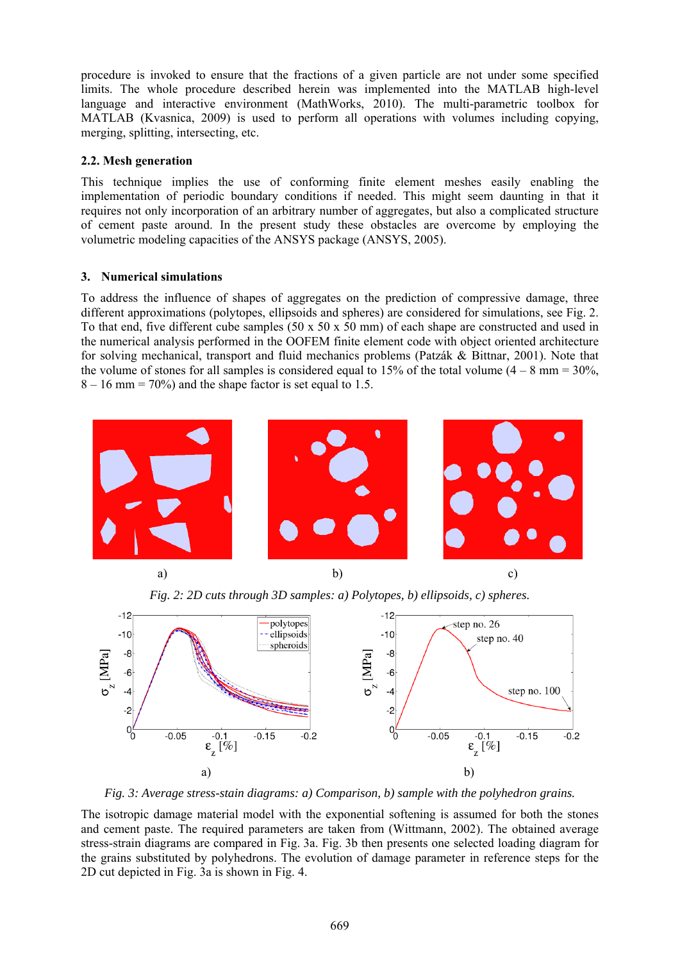procedure is invoked to ensure that the fractions of a given particle are not under some specified limits. The whole procedure described herein was implemented into the MATLAB high-level language and interactive environment (MathWorks, 2010). The multi-parametric toolbox for MATLAB (Kvasnica, 2009) is used to perform all operations with volumes including copying, merging, splitting, intersecting, etc.

## **2.2. Mesh generation**

This technique implies the use of conforming finite element meshes easily enabling the implementation of periodic boundary conditions if needed. This might seem daunting in that it requires not only incorporation of an arbitrary number of aggregates, but also a complicated structure of cement paste around. In the present study these obstacles are overcome by employing the volumetric modeling capacities of the ANSYS package (ANSYS, 2005).

# **3. Numerical simulations**

To address the influence of shapes of aggregates on the prediction of compressive damage, three different approximations (polytopes, ellipsoids and spheres) are considered for simulations, see Fig. 2. To that end, five different cube samples (50 x 50 x 50 mm) of each shape are constructed and used in the numerical analysis performed in the OOFEM finite element code with object oriented architecture for solving mechanical, transport and fluid mechanics problems (Patzák & Bittnar, 2001). Note that the volume of stones for all samples is considered equal to 15% of the total volume  $(4 - 8 \text{ mm} = 30\%$ ,  $8 - 16$  mm = 70%) and the shape factor is set equal to 1.5.



*Fig. 2: 2D cuts through 3D samples: a) Polytopes, b) ellipsoids, c) spheres.* 



*Fig. 3: Average stress-stain diagrams: a) Comparison, b) sample with the polyhedron grains.* 

The isotropic damage material model with the exponential softening is assumed for both the stones and cement paste. The required parameters are taken from (Wittmann, 2002). The obtained average stress-strain diagrams are compared in Fig. 3a. Fig. 3b then presents one selected loading diagram for the grains substituted by polyhedrons. The evolution of damage parameter in reference steps for the 2D cut depicted in Fig. 3a is shown in Fig. 4.